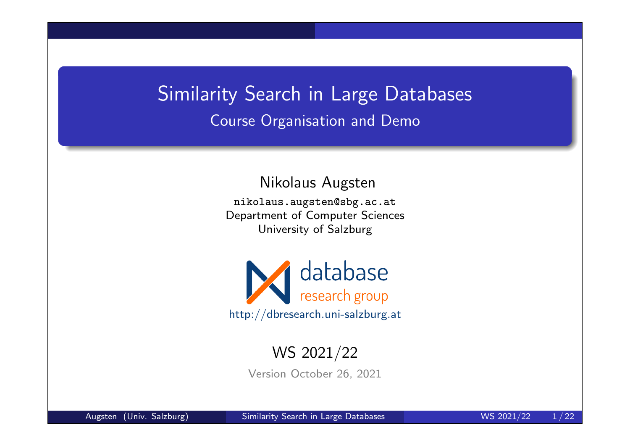# Similarity Search in Large Databases Course Organisation and Demo

Nikolaus Augsten

nikolaus.augsten@sbg.ac.at Department of Computer Sciences University of Salzburg



#### WS 2021/22

Version October 26, 2021

Augsten (Univ. Salzburg) Similarity Search in Large Databases Number 2021/22 1/22

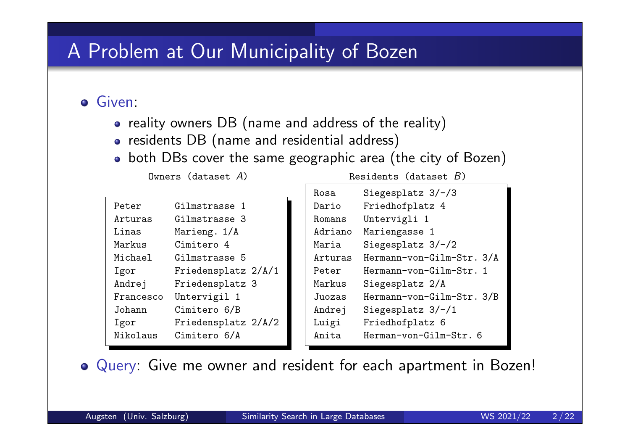# A Problem at Our Municipality of Bozen

**o** Given:

- reality owners DB (name and address of the reality)
- residents DB (name and residential address)
- both DBs cover the same geographic area (the city of Bozen)

| Peter     | Gilmstrasse 1       |
|-----------|---------------------|
| Arturas   | Gilmstrasse 3       |
| Linas     | Marieng. 1/A        |
| Markus    | Cimitero 4          |
| Michael   | Gilmstrasse 5       |
| Igor      | Friedensplatz 2/A/1 |
| Andrej    | Friedensplatz 3     |
| Francesco | Untervigil 1        |
| Johann    | Cimitero 6/B        |
| Igor      | Friedensplatz 2/A/2 |
| Nikolaus  | Cimitero 6/A        |
|           |                     |

 $0$ wners (dataset  $A$ ) Residents (dataset  $B$ )

| Rosa    | Siegesplatz $3/-/3$       |
|---------|---------------------------|
| Dario   | Friedhofplatz 4           |
| Romans  | Untervigli 1              |
| Adriano | Mariengasse 1             |
| Maria   | Siegesplatz $3/-/2$       |
| Arturas | Hermann-von-Gilm-Str. 3/A |
| Peter   | Hermann-von-Gilm-Str. 1   |
| Markus  | Siegesplatz 2/A           |
| Juozas  | Hermann-von-Gilm-Str. 3/B |
| Andrej  | Siegesplatz $3/-/1$       |
| Luigi   | Friedhofplatz 6           |
| Anita   | Herman-von-Gilm-Str. 6    |
|         |                           |

Query: Give me owner and resident for each apartment in Bozen!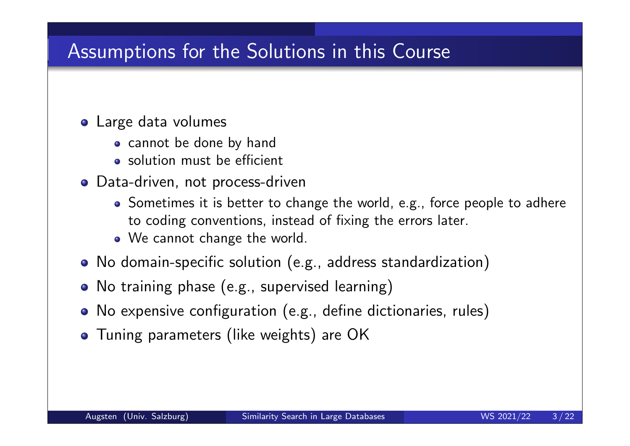# Assumptions for the Solutions in this Course

#### **o** Large data volumes

- cannot be done by hand
- solution must be efficient
- **o** Data-driven, not process-driven
	- Sometimes it is better to change the world, e.g., force people to adhere to coding conventions, instead of fixing the errors later.
	- We cannot change the world.
- No domain-specific solution (e.g., address standardization)
- No training phase (e.g., supervised learning)
- No expensive configuration (e.g., define dictionaries, rules)
- **•** Tuning parameters (like weights) are OK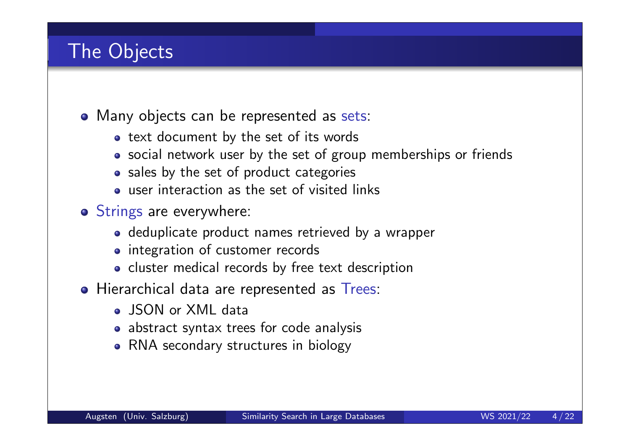# The Objects

- Many objects can be represented as sets:
	- text document by the set of its words
	- social network user by the set of group memberships or friends
	- sales by the set of product categories
	- user interaction as the set of visited links
- o Strings are everywhere:
	- deduplicate product names retrieved by a wrapper
	- integration of customer records
	- cluster medical records by free text description
- Hierarchical data are represented as Trees:
	- **o** ISON or XML data
	- abstract syntax trees for code analysis
	- RNA secondary structures in biology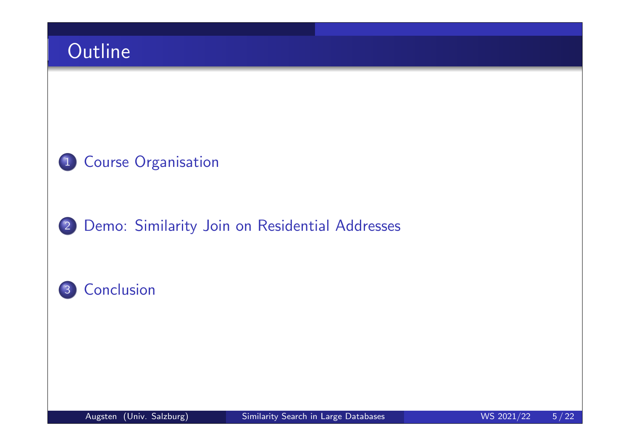

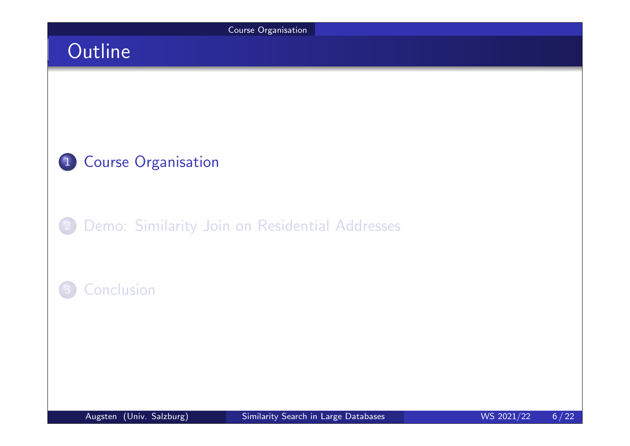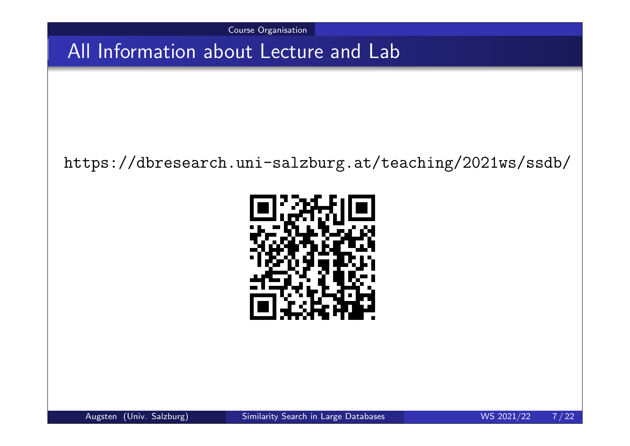Course Organisation

All Information about Lecture and Lab

#### https://dbresearch.uni-salzburg.at/teaching/2021ws/ssdb/



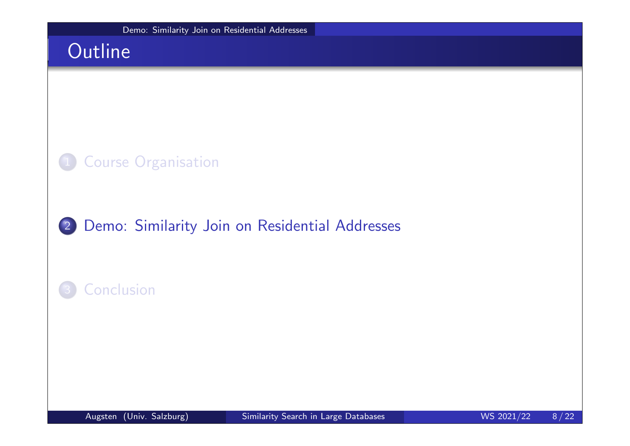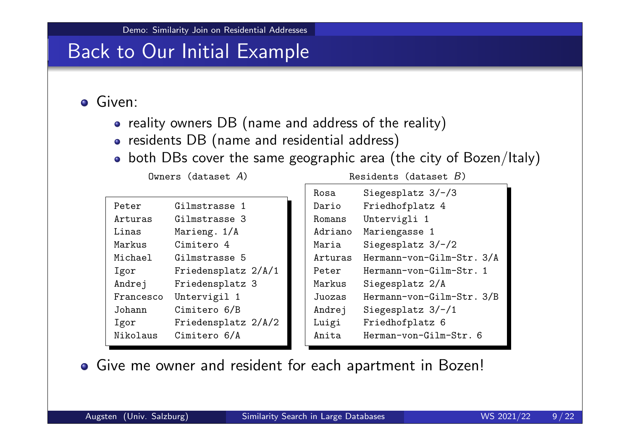#### Back to Our Initial Example

**o** Given:

- reality owners DB (name and address of the reality)
- residents DB (name and residential address)
- both DBs cover the same geographic area (the city of Bozen/Italy)

| Peter     | Gilmstrasse 1       |
|-----------|---------------------|
| Arturas   | Gilmstrasse 3       |
| Linas     | Marieng. 1/A        |
| Markus    | Cimitero 4          |
| Michael   | Gilmstrasse 5       |
| Igor      | Friedensplatz 2/A/1 |
| Andrej    | Friedensplatz 3     |
| Francesco | Untervigil 1        |
| Johann    | Cimitero 6/B        |
| Igor      | Friedensplatz 2/A/2 |
| Nikolaus  | Cimitero 6/A        |

 $0$ wners (dataset  $A$ ) Residents (dataset  $B$ )

| Rosa    | Siegesplatz $3/-/3$       |
|---------|---------------------------|
| Dario   | Friedhofplatz 4           |
| Romans  | Untervigli 1              |
| Adriano | Mariengasse 1             |
| Maria   | Siegesplatz $3/-/2$       |
| Arturas | Hermann-von-Gilm-Str. 3/A |
| Peter   | Hermann-von-Gilm-Str. 1   |
| Markus  | Siegesplatz 2/A           |
| Juozas  | Hermann-von-Gilm-Str. 3/B |
| Andrej  | Siegesplatz $3/-/1$       |
| Luigi   | Friedhofplatz 6           |
| Anita   | Herman-von-Gilm-Str. 6    |
|         |                           |

Give me owner and resident for each apartment in Bozen!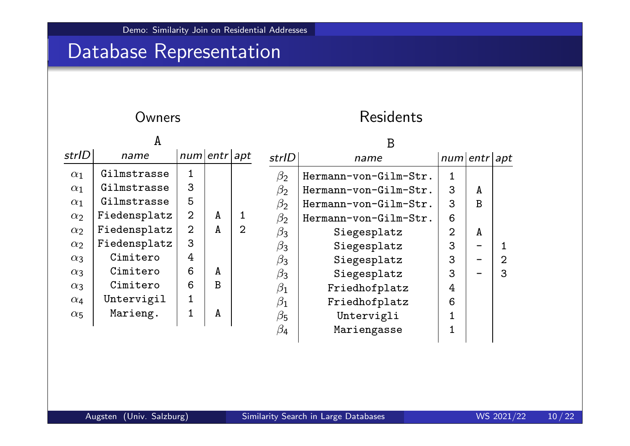# Database Representation

#### Owners **Residents**

|            | A            |              |              |   | B         |                       |                |   |                |
|------------|--------------|--------------|--------------|---|-----------|-----------------------|----------------|---|----------------|
| strlD      | name         | num entr apt |              |   | strlD     | name                  | num entr apt   |   |                |
| $\alpha_1$ | Gilmstrasse  |              |              |   | $\beta_2$ | Hermann-von-Gilm-Str. | $\mathbf{1}$   |   |                |
| $\alpha_1$ | Gilmstrasse  | 3            |              |   | $\beta_2$ | Hermann-von-Gilm-Str. | 3              | A |                |
| $\alpha_1$ | Gilmstrasse  | 5            |              |   | $\beta_2$ | Hermann-von-Gilm-Str. | 3              | B |                |
| $\alpha_2$ | Fiedensplatz | 2            | A            |   | $\beta_2$ | Hermann-von-Gilm-Str. | 6              |   |                |
| $\alpha_2$ | Fiedensplatz | 2            | $\mathbf{A}$ | 2 | $\beta_3$ | Siegesplatz           | $\overline{2}$ | A |                |
| $\alpha_2$ | Fiedensplatz | 3            |              |   | $\beta_3$ | Siegesplatz           | 3              |   |                |
| $\alpha_3$ | Cimitero     | 4            |              |   | $\beta_3$ | Siegesplatz           | 3              |   | $\overline{2}$ |
| $\alpha_3$ | Cimitero     | 6            | A            |   | $\beta_3$ | Siegesplatz           | 3              |   | 3              |
| $\alpha_3$ | Cimitero     | 6            | $\mathbf{B}$ |   | $\beta_1$ | Friedhofplatz         | 4              |   |                |
| $\alpha_4$ | Untervigil   | 1            |              |   | $\beta_1$ | Friedhofplatz         | 6              |   |                |
| $\alpha_5$ | Marieng.     |              | A            |   | $\beta_5$ | Untervigli            |                |   |                |
|            |              |              |              |   | $\beta_4$ | Mariengasse           |                |   |                |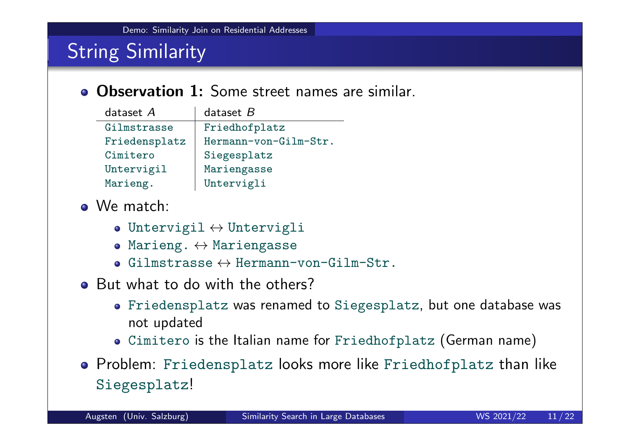# **String Similarity**

#### **• Observation 1:** Some street names are similar.

| dataset $A$   | dataset $B$           |
|---------------|-----------------------|
| Gilmstrasse   | Friedhofplatz         |
| Friedensplatz | Hermann-von-Gilm-Str. |
| Cimitero      | Siegesplatz           |
| Untervigil    | Mariengasse           |
| Marieng.      | Untervigli            |

- We match:
	- Untervigil  $\leftrightarrow$  Untervigli
	- Marieng.  $\leftrightarrow$  Mariengasse
	- $\bullet$  Gilmstrasse  $\leftrightarrow$  Hermann-von-Gilm-Str.
- But what to do with the others?
	- Friedensplatz was renamed to Siegesplatz, but one database was not updated
	- Cimitero is the Italian name for Friedhofplatz (German name)
- **•** Problem: Friedensplatz looks more like Friedhofplatz than like Siegesplatz!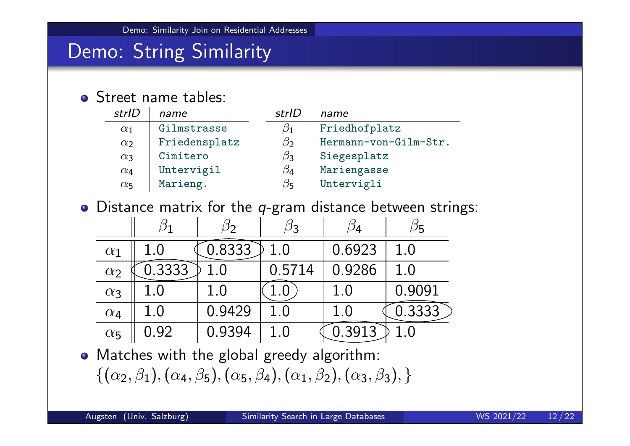#### Demo: String Similarity

#### • Street name tables:

| strlD      | name          | strlD     | name                  |
|------------|---------------|-----------|-----------------------|
| $\alpha_1$ | Gilmstrasse   | $\beta_1$ | Friedhofplatz         |
| $\alpha_2$ | Friedensplatz | $\beta$   | Hermann-von-Gilm-Str. |
| $\alpha_3$ | Cimitero      | $\beta_3$ | Siegesplatz           |
| $\alpha_4$ | Untervigil    | $\beta$ 4 | Mariengasse           |
| $\alpha_5$ | Marieng.      | $\beta_5$ | Untervigli            |

 $\bullet$  Distance matrix for the q-gram distance between strings:

|            |        | $^{2}$ |        | 14     |        |
|------------|--------|--------|--------|--------|--------|
| $\alpha_1$ |        | 0.8333 | 1.0    | 0.6923 | 1.0    |
| $\alpha_2$ | J.3333 |        | 0.5714 | 0.9286 | 1.0    |
| $\alpha_3$ |        |        |        | 1.0    | 0.9091 |
| $\alpha_4$ | 1.0    | 0.9429 | 1.0    |        | 0.3333 |
| $\alpha_5$ | 0.92   | 0.9394 | 1.0    | 0.3913 |        |

Matches with the global greedy algorithm:  $\{(\alpha_2,\beta_1),(\alpha_4,\beta_5),(\alpha_5,\beta_4),(\alpha_1,\beta_2),(\alpha_3,\beta_3),\}$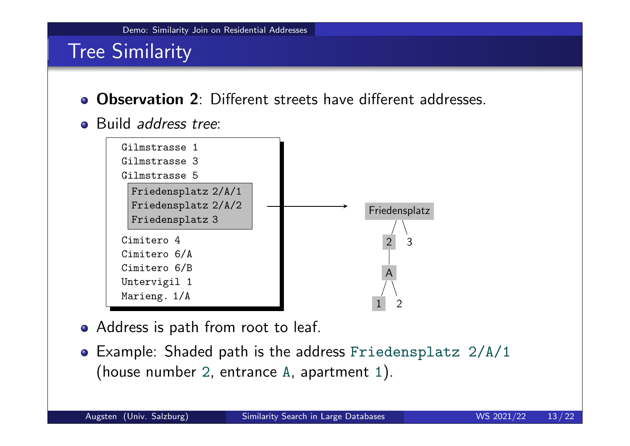#### Tree Similarity

- Observation 2: Different streets have different addresses.
- Build *address tree:*



- Address is path from root to leaf.
- Example: Shaded path is the address Friedensplatz 2/A/1 (house number 2, entrance A, apartment 1).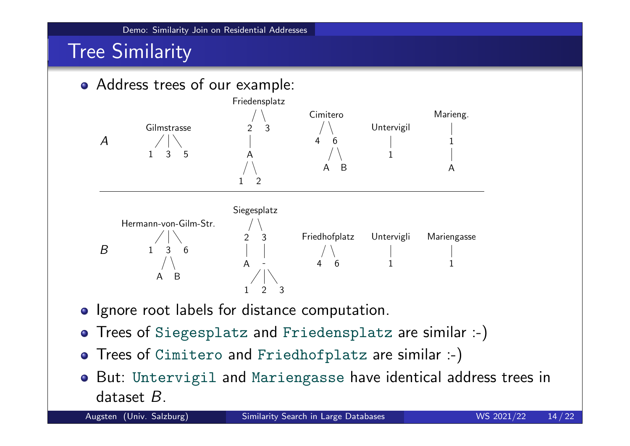#### Tree Similarity



- Ignore root labels for distance computation.
- Trees of Siegesplatz and Friedensplatz are similar :-)
- Trees of Cimitero and Friedhofplatz are similar :-)
- But: Untervigil and Mariengasse have identical address trees in dataset B.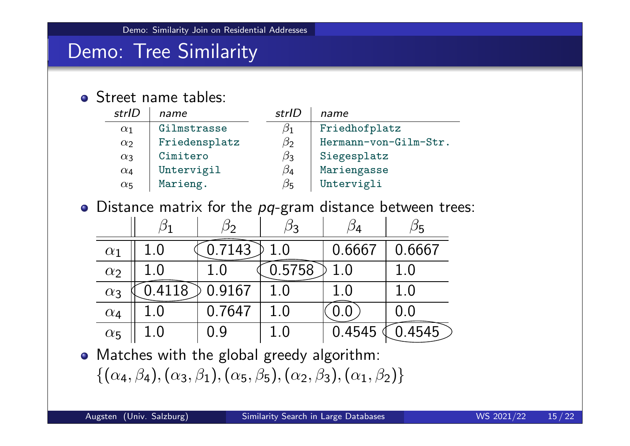#### Demo: Tree Similarity

#### • Street name tables:

| strlD      | name          | strlD     | name                  |
|------------|---------------|-----------|-----------------------|
| $\alpha_1$ | Gilmstrasse   | $\beta_1$ | Friedhofplatz         |
| $\alpha_2$ | Friedensplatz | $\beta$   | Hermann-von-Gilm-Str. |
| $\alpha_3$ | Cimitero      | $\beta_3$ | Siegesplatz           |
| $\alpha_4$ | Untervigil    | $\beta$ 4 | Mariengasse           |
| $\alpha_5$ | Marieng.      | $\beta_5$ | Untervigli            |

 $\bullet$  Distance matrix for the  $pq$ -gram distance between trees:

|            |         | 2י     | ŊЗ      | 14      | פי     |
|------------|---------|--------|---------|---------|--------|
| $\alpha_1$ | 1.0     | 7143   | $1.0\,$ | 0.6667  | 0.6667 |
| $\alpha_2$ | $1.0\,$ |        | 0.5758  | 1.0     | 1.0    |
| $\alpha_3$ | 4118    | 0.9167 | 1.0     | $1.0\,$ | 1.0    |
| $\alpha_4$ | $1.0\,$ | 0.7647 | 1.0     |         | 0.0    |
| $\alpha_5$ | $1.0\,$ | 09     | 1.0     | 0.4545  | .4545  |

Matches with the global greedy algorithm:  $\{(\alpha_4, \beta_4), (\alpha_3, \beta_1), (\alpha_5, \beta_5), (\alpha_2, \beta_3), (\alpha_1, \beta_2)\}\$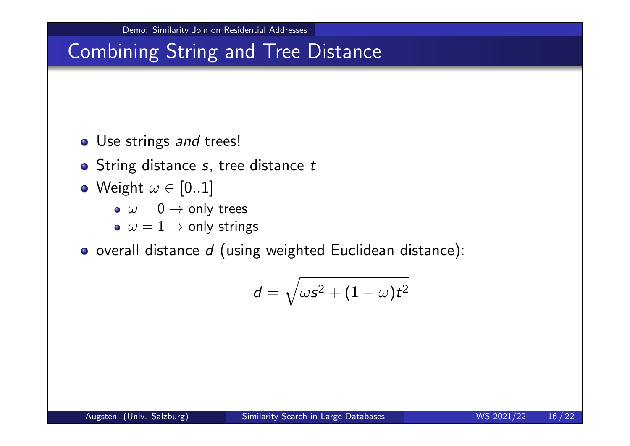# Combining String and Tree Distance

- Use strings and trees!
- String distance s, tree distance t
- Weight  $\omega \in [0..1]$ 
	- $\bullet \ \omega = 0 \rightarrow \text{only trees}$
	- $\sim \omega = 1 \rightarrow$  only strings
- $\bullet$  overall distance  $d$  (using weighted Euclidean distance):

$$
d=\sqrt{\omega s^2+(1-\omega)t^2}
$$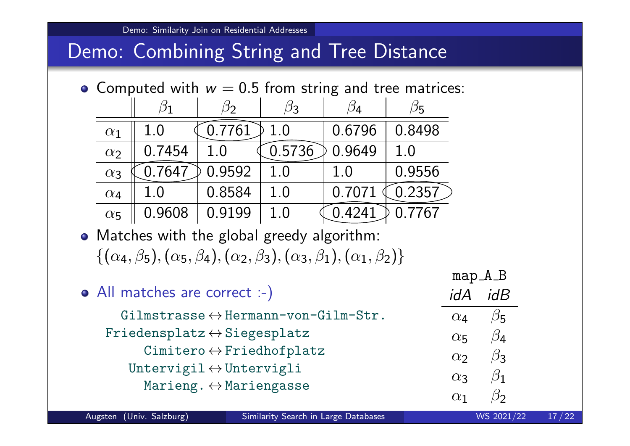#### Demo: Combining String and Tree Distance

• Computed with  $w = 0.5$  from string and tree matrices:

|            |        | 22     |         | 14     |        |
|------------|--------|--------|---------|--------|--------|
| $\alpha_1$ |        | 0.7761 | 1.0     | 0.6796 | 0.8498 |
| $\alpha_2$ | 0.7454 |        | 0 5736  | 0.9649 | 1.0    |
| $\alpha_3$ | J.7647 | 0.9592 | 1.0     | 1.0    | 0.9556 |
| $\alpha_4$ |        | 0.8584 | $1.0\,$ | 0.7071 | 0.2357 |
| $\alpha_5$ | 0.9608 | 0.9199 | 1.0     | 4241   | 0.7767 |

- Matches with the global greedy algorithm:  $\{(\alpha_4, \beta_5), (\alpha_5, \beta_4), (\alpha_2, \beta_3), (\alpha_3, \beta_1), (\alpha_1, \beta_2)\}\$
- All matches are correct :-)  $G$ ilmstrasse  $\leftrightarrow$ Hermann-von- $G$ ilm-Str.  $Friedensplatz \leftrightarrow Siegesplatz$  $Cimittero \leftrightarrow Friedhofplatz$ Untervigil $\leftrightarrow$ Untervigli Marieng.  $\leftrightarrow$  Mariengasse map<sub>A</sub>B  $idA \mid idB$  $\alpha_4$  $\beta$ <sub>5</sub>  $\alpha$ 5  $\beta_4$  $\alpha$  $\beta_3$  $α_3$  $\beta_1$  $\alpha_1$  $\beta$

Augsten (Univ. Salzburg) Similarity Search in Large Databases WS 2021/22 17/22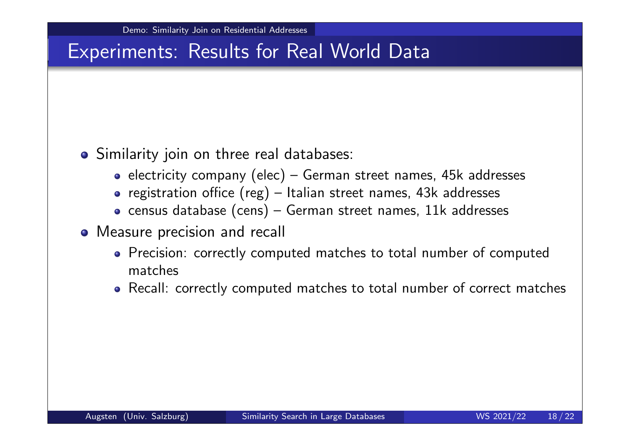#### Similarity join on three real databases:

- electricity company (elec) German street names,  $45k$  addresses
- registration office  $(reg)$  Italian street names, 43k addresses
- $\bullet$  census database (cens) German street names, 11k addresses
- Measure precision and recall
	- Precision: correctly computed matches to total number of computed matches
	- Recall: correctly computed matches to total number of correct matches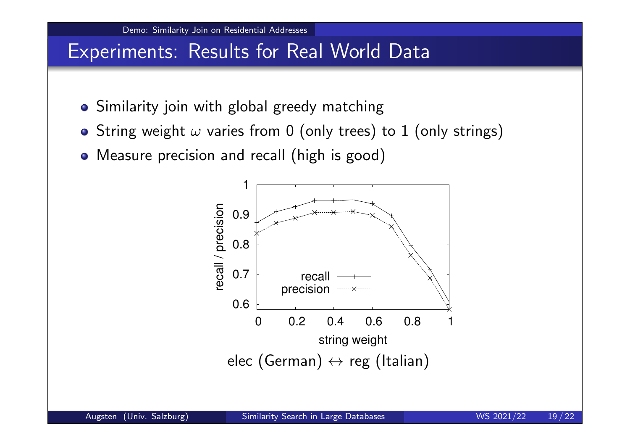- Similarity join with global greedy matching
- String weight  $\omega$  varies from 0 (only trees) to 1 (only strings)
- Measure precision and recall (high is good)

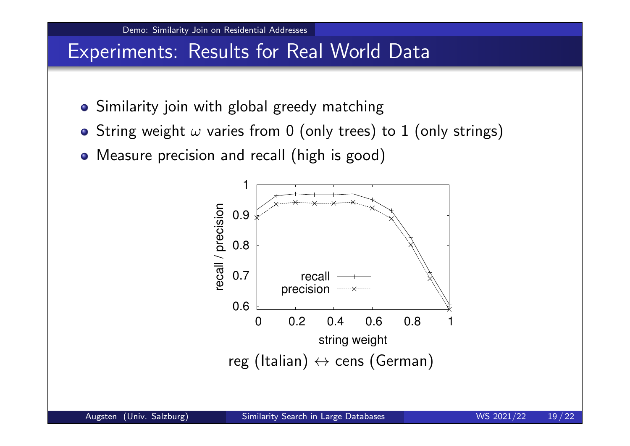

- Similarity join with global greedy matching
- String weight  $\omega$  varies from 0 (only trees) to 1 (only strings)
- Measure precision and recall (high is good)

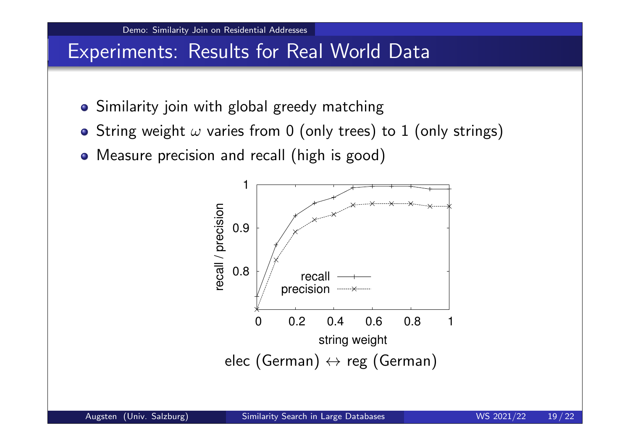

- Similarity join with global greedy matching
- String weight  $\omega$  varies from 0 (only trees) to 1 (only strings)
- Measure precision and recall (high is good)

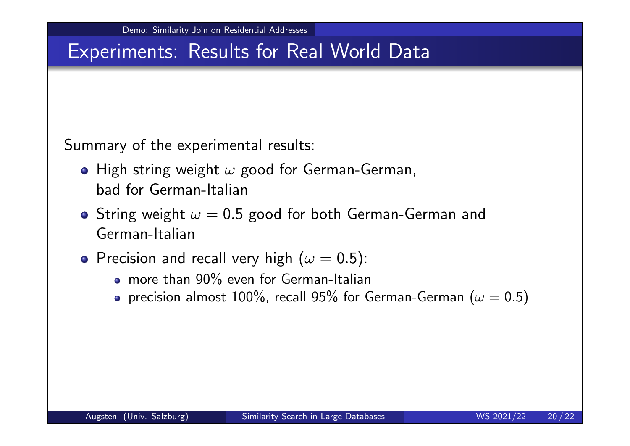Summary of the experimental results:

- High string weight  $\omega$  good for German-German, bad for German-Italian
- **•** String weight  $\omega = 0.5$  good for both German-German and German-Italian
- **•** Precision and recall very high ( $\omega = 0.5$ ):
	- more than 90% even for German-Italian
	- precision almost 100%, recall 95% for German-German ( $\omega = 0.5$ )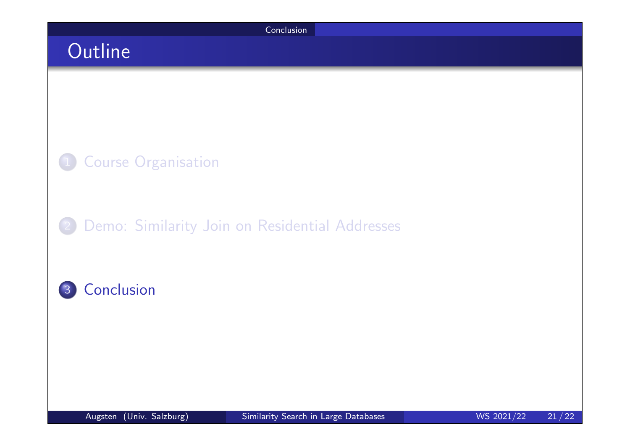